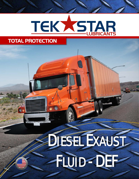# TEKASTAR

## DIESEL EXAUST FLUID - DEF